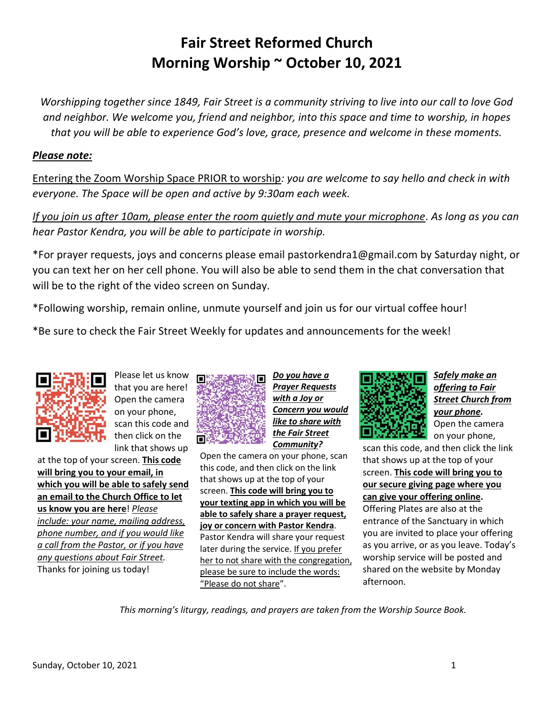# **Fair Street Reformed Church Morning Worship ~ October 10, 2021**

*Worshipping together since 1849, Fair Street is a community striving to live into our call to love God and neighbor. We welcome you, friend and neighbor, into this space and time to worship, in hopes that you will be able to experience God's love, grace, presence and welcome in these moments.*

#### *Please note:*

Entering the Zoom Worship Space PRIOR to worship*: you are welcome to say hello and check in with everyone. The Space will be open and active by 9:30am each week.*

*If you join us after 10am, please enter the room quietly and mute your microphone. As long as you can hear Pastor Kendra, you will be able to participate in worship.*

\*For prayer requests, joys and concerns please email pastorkendra1@gmail.com by Saturday night, or you can text her on her cell phone. You will also be able to send them in the chat conversation that will be to the right of the video screen on Sunday.

\*Following worship, remain online, unmute yourself and join us for our virtual coffee hour!

\*Be sure to check the Fair Street Weekly for updates and announcements for the week!



Please let us know that you are here! Open the camera on your phone, scan this code and then click on the link that shows up

at the top of your screen. **This code will bring you to your email, in which you will be able to safely send an email to the Church Office to let us know you are here**! *Please include: your name, mailing address, phone number, and if you would like a call from the Pastor, or if you have any questions about Fair Street.* Thanks for joining us today!



*Do you have a Prayer Requests with a Joy or Concern you would*  **like to share with** *the Fair Street Community?*

Open the camera on your phone, scan this code, and then click on the link that shows up at the top of your screen. **This code will bring you to your texting app in which you will be able to safely share a prayer request, joy or concern with Pastor Kendra**. Pastor Kendra will share your request later during the service. If you prefer her to not share with the congregation, please be sure to include the words: "Please do not share".



*Safely make an offering to Fair Street Church from your phone.* Open the camera on your phone,

scan this code, and then click the link that shows up at the top of your screen. **This code will bring you to our secure giving page where you can give your offering online.** Offering Plates are also at the entrance of the Sanctuary in which you are invited to place your offering as you arrive, or as you leave. Today's worship service will be posted and shared on the website by Monday afternoon.

*This morning's liturgy, readings, and prayers are taken from the Worship Source Book.*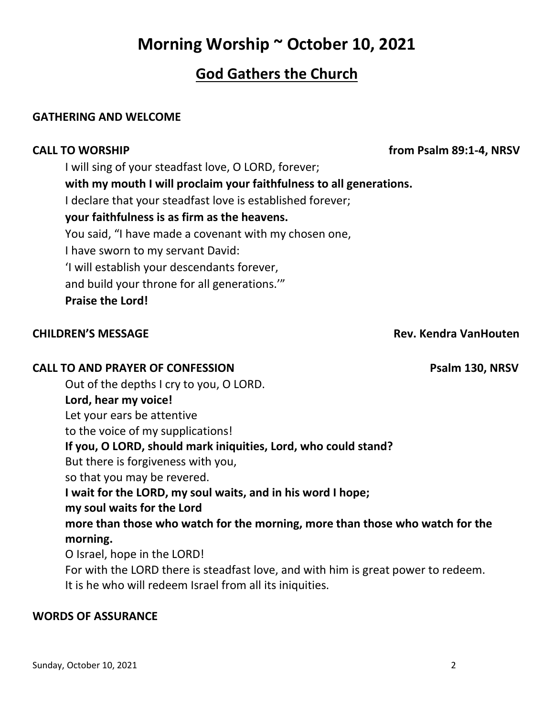# **Morning Worship ~ October 10, 2021**

## **God Gathers the Church**

#### **GATHERING AND WELCOME**

I will sing of your steadfast love, O LORD, forever; **with my mouth I will proclaim your faithfulness to all generations.**  I declare that your steadfast love is established forever; **your faithfulness is as firm as the heavens.**  You said, "I have made a covenant with my chosen one, I have sworn to my servant David: 'I will establish your descendants forever, and build your throne for all generations.'" **Praise the Lord!** 

### **CALL TO AND PRAYER OF CONFESSION Psalm 130, NRSV**

Out of the depths I cry to you, O LORD. **Lord, hear my voice!**  Let your ears be attentive to the voice of my supplications! **If you, O LORD, should mark iniquities, Lord, who could stand?**  But there is forgiveness with you, so that you may be revered. **I wait for the LORD, my soul waits, and in his word I hope; my soul waits for the Lord more than those who watch for the morning, more than those who watch for the morning.**  O Israel, hope in the LORD! For with the LORD there is steadfast love, and with him is great power to redeem.

It is he who will redeem Israel from all its iniquities.

### **WORDS OF ASSURANCE**

**CHILDREN'S MESSAGE Rev. Kendra VanHouten**

**CALL TO WORSHIP from Psalm 89:1-4, NRSV**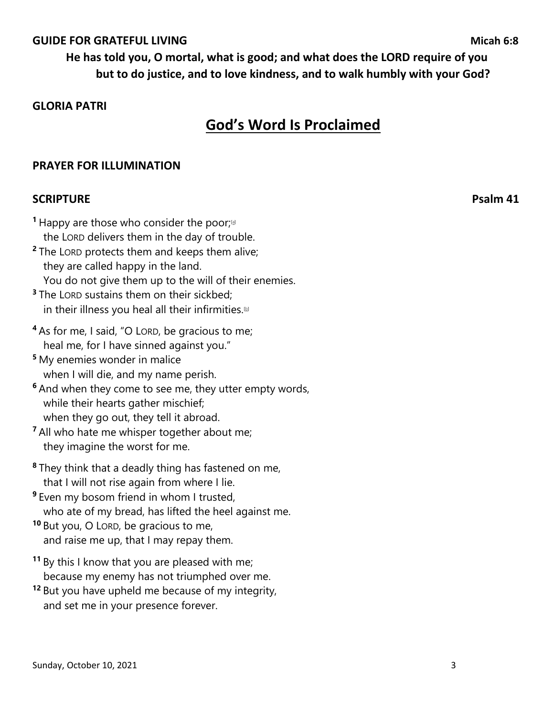#### **GUIDE FOR GRATEFUL LIVING**<br> **GUIDE FOR GRATEFUL LIVING**

#### **GLORIA PATRI**

## **God's Word Is Proclaimed**

#### **PRAYER FOR ILLUMINATION**

#### **SCRIPTURE** Psalm 41

**1** Happy are those who consider the poor;<sup>[4]</sup> the LORD delivers them in the day of trouble. **<sup>2</sup>** The LORD protects them and keeps them alive; they are called happy in the land.

 You do not give them up to the will of their enemies. **<sup>3</sup>** The LORD sustains them on their sickbed;

- in their illness you heal all their infirmities. $\mathbb D$
- **<sup>4</sup>** As for me, I said, "O LORD, be gracious to me; heal me, for I have sinned against you."
- **<sup>5</sup>** My enemies wonder in malice when I will die, and my name perish.
- **<sup>6</sup>** And when they come to see me, they utter empty words, while their hearts gather mischief; when they go out, they tell it abroad.
- **<sup>7</sup>** All who hate me whisper together about me; they imagine the worst for me.
- **<sup>8</sup>** They think that a deadly thing has fastened on me, that I will not rise again from where I lie.
- **9** Even my bosom friend in whom I trusted, who ate of my bread, has lifted the heel against me.
- **<sup>10</sup>** But you, O LORD, be gracious to me, and raise me up, that I may repay them.
- **<sup>11</sup>** By this I know that you are pleased with me; because my enemy has not triumphed over me.
- **<sup>12</sup>** But you have upheld me because of my integrity, and set me in your presence forever.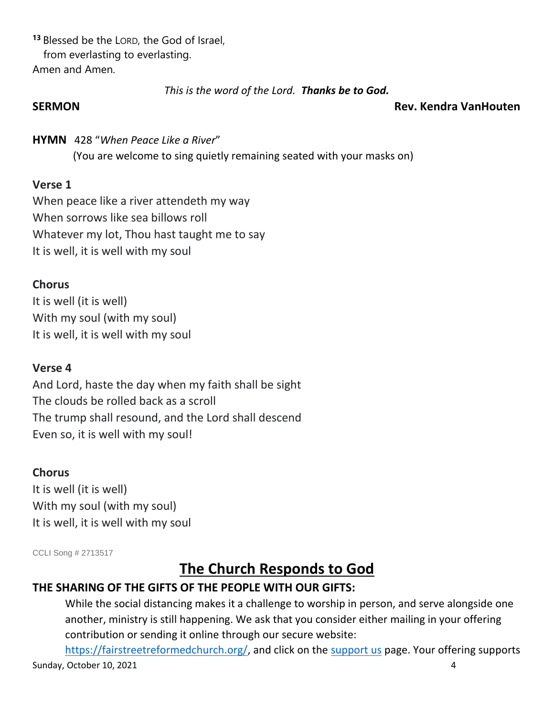**<sup>13</sup>** Blessed be the LORD, the God of Israel, from everlasting to everlasting. Amen and Amen.

*This is the word of the Lord. Thanks be to God.*

#### **SERMON Rev. Kendra VanHouten**

### **HYMN** 428 "*When Peace Like a River*"

(You are welcome to sing quietly remaining seated with your masks on)

### **Verse 1**

When peace like a river attendeth my way When sorrows like sea billows roll Whatever my lot, Thou hast taught me to say It is well, it is well with my soul

### **Chorus**

It is well (it is well) With my soul (with my soul) It is well, it is well with my soul

### **Verse 4**

And Lord, haste the day when my faith shall be sight The clouds be rolled back as a scroll The trump shall resound, and the Lord shall descend Even so, it is well with my soul!

### **Chorus**

It is well (it is well) With my soul (with my soul) It is well, it is well with my soul

CCLI Song # 2713517

# **The Church Responds to God**

### **THE SHARING OF THE GIFTS OF THE PEOPLE WITH OUR GIFTS:**

While the social distancing makes it a challenge to worship in person, and serve alongside one another, ministry is still happening. We ask that you consider either mailing in your offering contribution or sending it online through our secure website:

Sunday, October 10, 2021 4 [https://fairstreetreformedchurch.org/,](https://fairstreetreformedchurch.org/) and click on the [support us](https://fairstreetreformedchurch.org/?page_id=212) page. Your offering supports